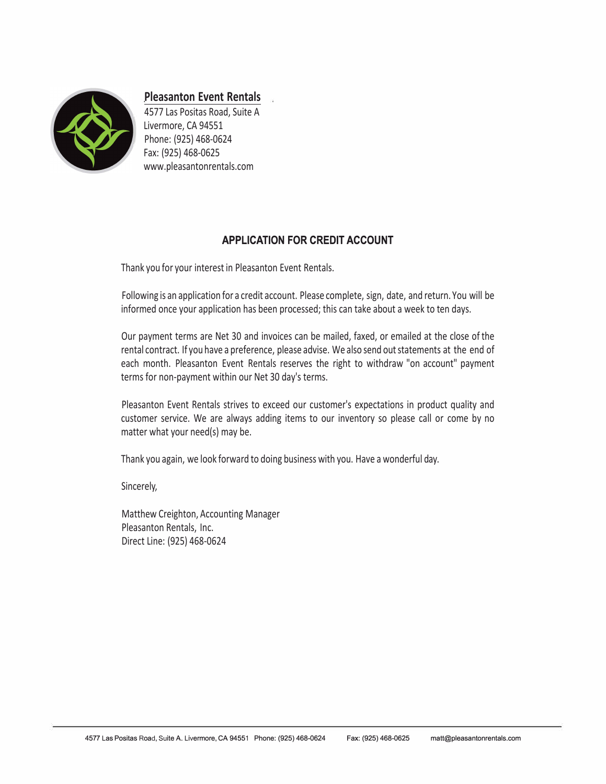

**Pleasanton Event Rentals** 

4577 Las Positas Road, Suite A Livermore, CA 94551 Phone: (925) 468-0624 Fax: (925) 468-0625 www.pleasantonrentals.com

## **APPLICATION FOR CREDIT ACCOUNT**

Thank you for your interest in Pleasanton Event Rentals.

Following is an application for a credit account. Please complete, sign, date, and return. You will be informed once your application has been processed; this can take about a week to ten days.

Our payment terms are Net 30 and invoices can be mailed, faxed, or emailed at the close of the rental contract. If you have a preference, please advise. We also send out statements at the end of each month. Pleasanton Event Rentals reserves the right to withdraw "on account" payment terms for non-payment within our Net 30 day's terms.

Pleasanton Event Rentals strives to exceed our customer's expectations in product quality and customer service. We are always adding items to our inventory so please call or come by no matter what your need(s) may be.

Thank you again, we look forward to doing business with you. Have a wonderful day.

Sincerely,

Matthew Creighton, Accounting Manager Pleasanton Rentals, Inc. Direct Line: (925) 468-0624